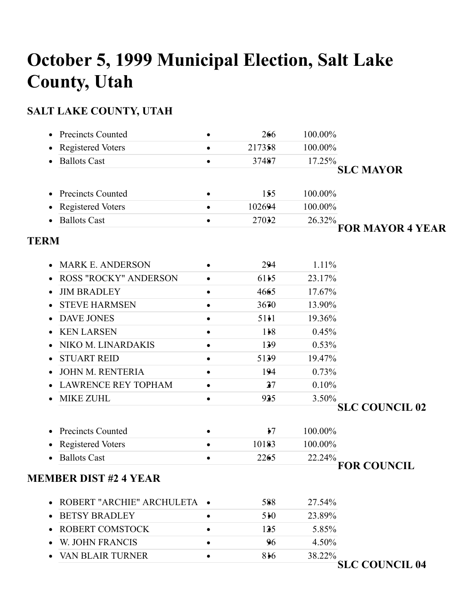# **October 5, 1999 Municipal Election, Salt Lake County, Utah**

## **SALT LAKE COUNTY, UTAH**

| Precincts Counted            |   | 266           | 100.00% |                         |
|------------------------------|---|---------------|---------|-------------------------|
| Registered Voters            |   | 217358        | 100.00% |                         |
| <b>Ballots Cast</b>          |   | 37487         | 17.25%  |                         |
|                              |   |               |         | <b>SLC MAYOR</b>        |
| <b>Precincts Counted</b>     |   | 155           | 100.00% |                         |
| <b>Registered Voters</b>     |   | 102694        | 100.00% |                         |
| <b>Ballots Cast</b>          |   | 27032         | 26.32%  |                         |
| <b>TERM</b>                  |   |               |         | <b>FOR MAYOR 4 YEAR</b> |
| <b>MARK E. ANDERSON</b>      |   | 294           | 1.11%   |                         |
| <b>ROSS "ROCKY" ANDERSON</b> |   | 6115          | 23.17%  |                         |
| <b>JIM BRADLEY</b>           |   | 4665          | 17.67%  |                         |
| <b>STEVE HARMSEN</b>         |   | 3670          | 13.90%  |                         |
| <b>DAVE JONES</b>            |   | 5111          | 19.36%  |                         |
| <b>KEN LARSEN</b>            |   | 118           | 0.45%   |                         |
| NIKO M. LINARDAKIS           |   | 139           | 0.53%   |                         |
| <b>STUART REID</b>           |   | 5139          | 19.47%  |                         |
| JOHN M. RENTERIA             |   | 194           | 0.73%   |                         |
| <b>LAWRENCE REY TOPHAM</b>   |   | 27            | 0.10%   |                         |
| <b>MIKE ZUHL</b>             | ٠ | 925           | 3.50%   |                         |
|                              |   |               |         | <b>SLC COUNCIL 02</b>   |
| <b>Precincts Counted</b>     |   | $\frac{1}{2}$ | 100.00% |                         |
| <b>Registered Voters</b>     | ٠ | 10183         | 100.00% |                         |
| <b>Ballots Cast</b>          |   | 2265          | 22.24%  |                         |
| <b>MEMBER DIST #2 4 YEAR</b> |   |               |         | <b>FOR COUNCIL</b>      |
|                              |   |               |         |                         |
| ROBERT "ARCHIE" ARCHULETA .  |   | 588           | 27.54%  |                         |
| <b>BETSY BRADLEY</b>         | ٠ | 510           | 23.89%  |                         |
| <b>ROBERT COMSTOCK</b>       |   | 125           | 5.85%   |                         |
| W. JOHN FRANCIS              |   | 96            | 4.50%   |                         |
| VAN BLAIR TURNER             | ٠ | 816           | 38.22%  | <b>SLC COUNCIL 04</b>   |
|                              |   |               |         |                         |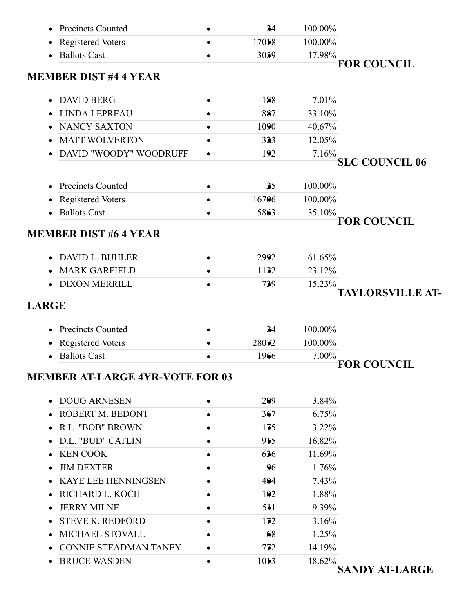| <b>Precincts Counted</b>               |           | 24    | 100.00% |                         |
|----------------------------------------|-----------|-------|---------|-------------------------|
| <b>Registered Voters</b>               | ٠         | 17018 | 100.00% |                         |
| <b>Ballots Cast</b>                    |           | 3059  | 17.98%  |                         |
| <b>MEMBER DIST #4 4 YEAR</b>           |           |       |         | <b>FOR COUNCIL</b>      |
| <b>DAVID BERG</b>                      |           | 188   | 7.01%   |                         |
| <b>LINDA LEPREAU</b>                   |           | 887   | 33.10%  |                         |
| <b>NANCY SAXTON</b>                    |           | 1090  | 40.67%  |                         |
| <b>MATT WOLVERTON</b>                  | ٠         | 323   | 12.05%  |                         |
| DAVID "WOODY" WOODRUFF                 | $\bullet$ | 192   | 7.16%   |                         |
|                                        |           |       |         | <b>SLC COUNCIL 06</b>   |
| <b>Precincts Counted</b>               | ٠         | 25    | 100.00% |                         |
| Registered Voters                      | ٠         | 16706 | 100.00% |                         |
| <b>Ballots Cast</b>                    |           | 5863  | 35.10%  |                         |
|                                        |           |       |         | <b>FOR COUNCIL</b>      |
| <b>MEMBER DIST #6 4 YEAR</b>           |           |       |         |                         |
| <b>DAVID L. BUHLER</b>                 |           | 2992  | 61.65%  |                         |
| <b>MARK GARFIELD</b>                   |           | 1122  | 23.12%  |                         |
| <b>DIXON MERRILL</b>                   | $\bullet$ | 739   | 15.23%  | <b>TAYLORSVILLE AT-</b> |
| <b>LARGE</b>                           |           |       |         |                         |
| <b>Precincts Counted</b>               |           | 24    | 100.00% |                         |
| Registered Voters                      |           | 28072 | 100.00% |                         |
| <b>Ballots Cast</b>                    |           | 1966  | 7.00%   | <b>FOR COUNCIL</b>      |
| <b>MEMBER AT-LARGE 4YR-VOTE FOR 03</b> |           |       |         |                         |
| <b>DOUG ARNESEN</b>                    | ٠         | 209   | 3.84%   |                         |
| ROBERT M. BEDONT                       |           | 367   | 6.75%   |                         |
| <b>R.L. "BOB" BROWN</b>                | ٠         | 175   | 3.22%   |                         |
| D.L. "BUD" CATLIN                      |           | 915   | 16.82%  |                         |
| <b>KEN COOK</b>                        |           | 636   | 11.69%  |                         |
| <b>JIM DEXTER</b>                      |           | 96    | 1.76%   |                         |
| <b>KAYE LEE HENNINGSEN</b>             |           | 404   | 7.43%   |                         |
| RICHARD L. KOCH                        |           | 102   | 1.88%   |                         |
| <b>JERRY MILNE</b>                     |           | 511   | 9.39%   |                         |
| <b>STEVE K. REDFORD</b>                | ٠         | 172   | 3.16%   |                         |
| MICHAEL STOVALL                        |           | 68    | 1.25%   |                         |
| <b>CONNIE STEADMAN TANEY</b>           |           | 772   | 14.19%  |                         |
| <b>BRUCE WASDEN</b>                    |           | 1013  | 18.62%  |                         |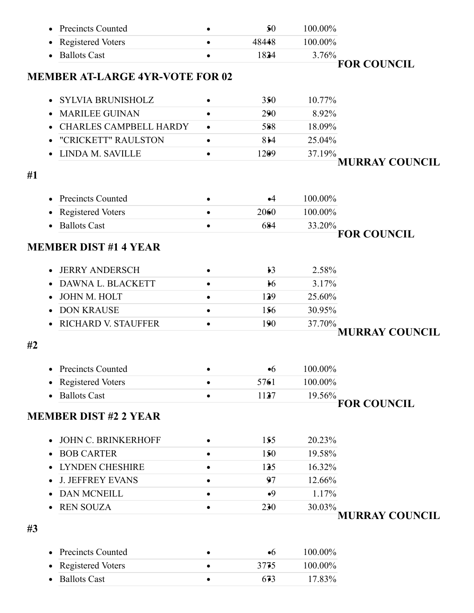|    | <b>Precincts Counted</b>               |           | 50            | 100.00% |                       |
|----|----------------------------------------|-----------|---------------|---------|-----------------------|
|    | <b>Registered Voters</b>               | $\bullet$ | 48448         | 100.00% |                       |
|    | <b>Ballots Cast</b>                    |           | 1824          | 3.76%   |                       |
|    |                                        |           |               |         | <b>FOR COUNCIL</b>    |
|    | <b>MEMBER AT-LARGE 4YR-VOTE FOR 02</b> |           |               |         |                       |
|    | <b>SYLVIA BRUNISHOLZ</b>               | $\bullet$ | 350           | 10.77%  |                       |
|    | <b>MARILEE GUINAN</b>                  | ٠         | 290           | 8.92%   |                       |
|    | <b>CHARLES CAMPBELL HARDY</b>          | $\bullet$ | 588           | 18.09%  |                       |
|    | "CRICKETT" RAULSTON                    | ٠         | 814           | 25.04%  |                       |
|    | LINDA M. SAVILLE                       | $\bullet$ | 1209          | 37.19%  |                       |
|    |                                        |           |               |         | <b>MURRAY COUNCIL</b> |
| #1 |                                        |           |               |         |                       |
|    | <b>Precincts Counted</b>               |           | $\bullet$ 4   | 100.00% |                       |
|    | <b>Registered Voters</b>               |           | 2060          | 100.00% |                       |
|    | <b>Ballots Cast</b>                    | $\bullet$ | 684           | 33.20%  |                       |
|    |                                        |           |               |         | <b>FOR COUNCIL</b>    |
|    | <b>MEMBER DIST #1 4 YEAR</b>           |           |               |         |                       |
|    | <b>JERRY ANDERSCH</b>                  |           | $\frac{1}{2}$ | 2.58%   |                       |
|    | DAWNA L. BLACKETT                      | $\bullet$ | $\frac{1}{2}$ | 3.17%   |                       |
|    | <b>JOHN M. HOLT</b>                    |           | 129           | 25.60%  |                       |
|    | <b>DON KRAUSE</b>                      | $\bullet$ | 156           | 30.95%  |                       |
|    | <b>RICHARD V. STAUFFER</b>             |           | 190           | 37.70%  |                       |
|    |                                        |           |               |         | <b>MURRAY COUNCIL</b> |
| #2 |                                        |           |               |         |                       |
|    | Precincts Counted                      |           | $\bullet 6$   | 100.00% |                       |
|    | <b>Registered Voters</b>               | $\bullet$ | 5761          | 100.00% |                       |
|    | <b>Ballots Cast</b>                    | ٠         | 1127          | 19.56%  |                       |
|    |                                        |           |               |         | <b>FOR COUNCIL</b>    |
|    | <b>MEMBER DIST #2 2 YEAR</b>           |           |               |         |                       |
|    | JOHN C. BRINKERHOFF                    |           | 155           | 20.23%  |                       |
|    | <b>BOB CARTER</b>                      |           | 150           | 19.58%  |                       |
|    | <b>LYNDEN CHESHIRE</b>                 |           | 125           | 16.32%  |                       |
|    | <b>J. JEFFREY EVANS</b>                |           | 97            | 12.66%  |                       |
|    | DAN MCNEILL                            | $\bullet$ | •9            | 1.17%   |                       |
|    | <b>REN SOUZA</b>                       | $\bullet$ | 230           | 30.03%  |                       |
|    |                                        |           |               |         | <b>MURRAY COUNCIL</b> |
| #3 |                                        |           |               |         |                       |
|    |                                        |           |               |         |                       |
|    | <b>Precincts Counted</b>               |           | $\bullet 6$   | 100.00% |                       |
|    | <b>Registered Voters</b>               | ٠         | 3775          | 100.00% |                       |
|    | <b>Ballots Cast</b>                    |           | 673           | 17.83%  |                       |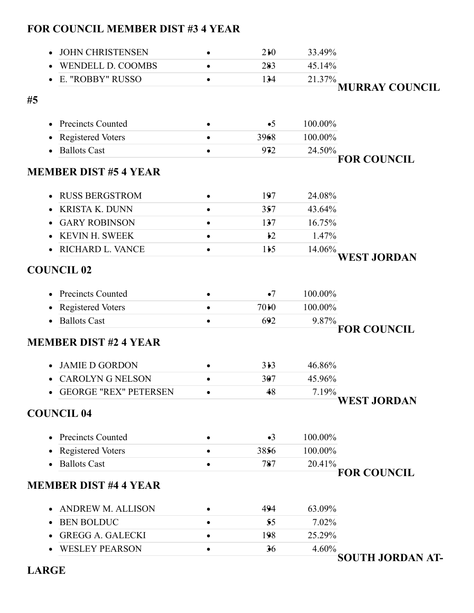|  | <b>FOR COUNCIL MEMBER DIST #3 4 YEAR</b> |  |  |  |
|--|------------------------------------------|--|--|--|
|--|------------------------------------------|--|--|--|

| <b>JOHN CHRISTENSEN</b>               | 210           | 33.49%  |                         |
|---------------------------------------|---------------|---------|-------------------------|
| <b>WENDELL D. COOMBS</b>              | 283           | 45.14%  |                         |
| E. "ROBBY" RUSSO                      | 134           | 21.37%  |                         |
|                                       |               |         | <b>MURRAY COUNCIL</b>   |
| #5                                    |               |         |                         |
| <b>Precincts Counted</b>              | $\bullet 5$   | 100.00% |                         |
| Registered Voters                     | 3968          | 100.00% |                         |
| <b>Ballots Cast</b>                   | 972           | 24.50%  |                         |
|                                       |               |         | <b>FOR COUNCIL</b>      |
| <b>MEMBER DIST #5 4 YEAR</b>          |               |         |                         |
| <b>RUSS BERGSTROM</b><br>$\bullet$    | 197           | 24.08%  |                         |
| <b>KRISTA K. DUNN</b>                 | 357           | 43.64%  |                         |
| <b>GARY ROBINSON</b>                  | 137           | 16.75%  |                         |
| <b>KEVIN H. SWEEK</b>                 | $\frac{1}{2}$ | 1.47%   |                         |
| RICHARD L. VANCE                      | 115           | 14.06%  |                         |
|                                       |               |         | <b>WEST JORDAN</b>      |
| <b>COUNCIL 02</b>                     |               |         |                         |
|                                       |               |         |                         |
| <b>Precincts Counted</b>              | $\bullet$ 7   | 100.00% |                         |
| <b>Registered Voters</b><br>٠         | 7010          | 100.00% |                         |
| <b>Ballots Cast</b><br>$\bullet$      | 692           | 9.87%   | <b>FOR COUNCIL</b>      |
| <b>MEMBER DIST #2 4 YEAR</b>          |               |         |                         |
|                                       |               |         |                         |
| <b>JAMIE D GORDON</b>                 | 313           | 46.86%  |                         |
| <b>CAROLYN G NELSON</b>               | 307           | 45.96%  |                         |
| <b>GEORGE "REX" PETERSEN</b>          | 48            | 7.19%   |                         |
|                                       |               |         | <b>WEST JORDAN</b>      |
| <b>COUNCIL 04</b>                     |               |         |                         |
| <b>Precincts Counted</b><br>$\bullet$ | $\bullet$ 3   | 100.00% |                         |
| <b>Registered Voters</b><br>٠         | 3856          | 100.00% |                         |
| <b>Ballots Cast</b>                   | 787           | 20.41%  |                         |
|                                       |               |         | <b>FOR COUNCIL</b>      |
| <b>MEMBER DIST #4 4 YEAR</b>          |               |         |                         |
| <b>ANDREW M. ALLISON</b>              | 494           | 63.09%  |                         |
| <b>BEN BOLDUC</b>                     | 55            | 7.02%   |                         |
| <b>GREGG A. GALECKI</b>               | 198           | 25.29%  |                         |
| <b>WESLEY PEARSON</b>                 | 36            | 4.60%   |                         |
|                                       |               |         | <b>SOUTH JORDAN AT-</b> |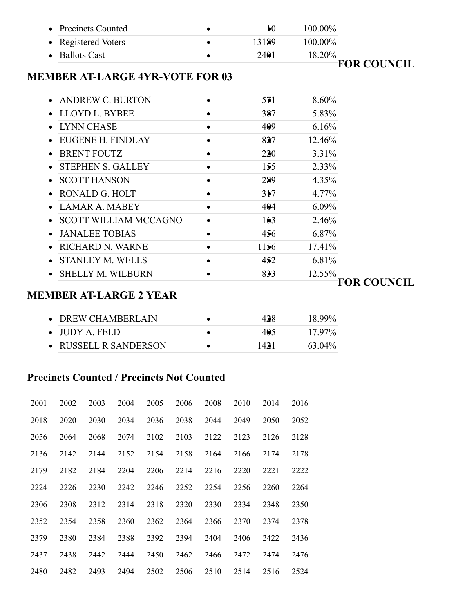|                                        | $\boldsymbol{\mu}$ | 100.00%            |
|----------------------------------------|--------------------|--------------------|
|                                        | 13189              | 100.00%            |
|                                        | 2401               | 18.20%             |
| <b>MEMBER AT-LARGE 4YR-VOTE FOR 03</b> |                    | <b>FOR COUNCIL</b> |
|                                        |                    | 8.60%              |
|                                        | 387                | 5.83%              |
|                                        | 409                | 6.16%              |
|                                        | 827                | 12.46%             |
| $\bullet$                              | 220                | 3.31%              |
|                                        | 155                | 2.33%              |
|                                        | 289                | 4.35%              |
|                                        | 317                | 4.77%              |
|                                        | 404                | 6.09%              |
|                                        | 163                | 2.46%              |
|                                        | 456                | 6.87%              |
|                                        | 1156               | 17.41%             |
|                                        | 452                | 6.81%              |
|                                        | 833                | 12.55%             |
|                                        |                    | 571                |

#### **MEMBER AT-LARGE 2 YEAR**

| $\bullet$ DREW CHAMBERLAIN | 438  | 18.99% |
|----------------------------|------|--------|
| $\bullet$ JUDY A. FELD.    | 405  | 17.97% |
| • RUSSELL R SANDERSON      | 1431 | 63.04% |

### **Precincts Counted / Precincts Not Counted**

| 2001 | 2002 | 2003 | 2004 | 2005 | 2006 | 2008 | 2010 | 2014 | 2016 |
|------|------|------|------|------|------|------|------|------|------|
| 2018 | 2020 | 2030 | 2034 | 2036 | 2038 | 2044 | 2049 | 2050 | 2052 |
| 2056 | 2064 | 2068 | 2074 | 2102 | 2103 | 2122 | 2123 | 2126 | 2128 |
| 2136 | 2142 | 2144 | 2152 | 2154 | 2158 | 2164 | 2166 | 2174 | 2178 |
| 2179 | 2182 | 2184 | 2204 | 2206 | 2214 | 2216 | 2220 | 2221 | 2222 |
| 2224 | 2226 | 2230 | 2242 | 2246 | 2252 | 2254 | 2256 | 2260 | 2264 |
| 2306 | 2308 | 2312 | 2314 | 2318 | 2320 | 2330 | 2334 | 2348 | 2350 |
| 2352 | 2354 | 2358 | 2360 | 2362 | 2364 | 2366 | 2370 | 2374 | 2378 |
| 2379 | 2380 | 2384 | 2388 | 2392 | 2394 | 2404 | 2406 | 2422 | 2436 |
| 2437 | 2438 | 2442 | 2444 | 2450 | 2462 | 2466 | 2472 | 2474 | 2476 |
| 2480 | 2482 | 2493 | 2494 | 2502 | 2506 | 2510 | 2514 | 2516 | 2524 |